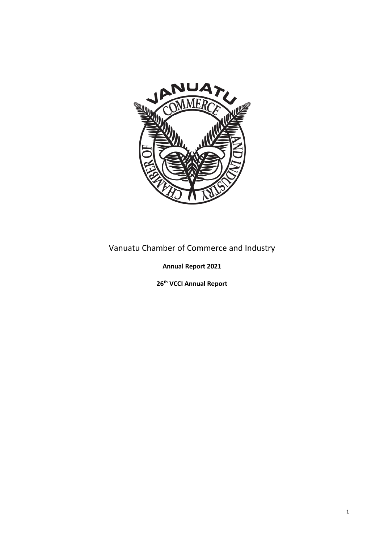

# Vanuatu Chamber of Commerce and Industry

**Annual Report 2021**

**26 th VCCI Annual Report**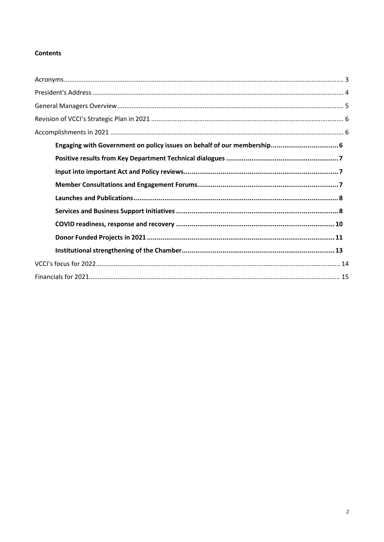# **Contents**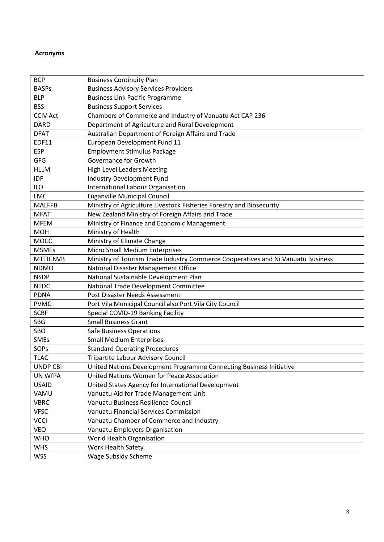# <span id="page-2-0"></span>**Acronyms**

| <b>BCP</b>      | <b>Business Continuity Plan</b>                                                  |
|-----------------|----------------------------------------------------------------------------------|
| <b>BASPs</b>    | <b>Business Advisory Services Providers</b>                                      |
| <b>BLP</b>      | <b>Business Link Pacific Programme</b>                                           |
| <b>BSS</b>      | <b>Business Support Services</b>                                                 |
| <b>CCIV Act</b> | Chambers of Commerce and Industry of Vanuatu Act CAP 236                         |
| <b>DARD</b>     | Department of Agriculture and Rural Development                                  |
| <b>DFAT</b>     | Australian Department of Foreign Affairs and Trade                               |
| <b>EDF11</b>    | European Development Fund 11                                                     |
| <b>ESP</b>      | <b>Employment Stimulus Package</b>                                               |
| GFG             | Governance for Growth                                                            |
| <b>HLLM</b>     | <b>High Level Leaders Meeting</b>                                                |
| <b>IDF</b>      | Industry Development Fund                                                        |
| <b>ILO</b>      | International Labour Organisation                                                |
| <b>LMC</b>      | Luganville Municipal Council                                                     |
| <b>MALFFB</b>   | Ministry of Agriculture Livestock Fisheries Forestry and Biosecurity             |
| <b>MFAT</b>     | New Zealand Ministry of Foreign Affairs and Trade                                |
| <b>MFEM</b>     | Ministry of Finance and Economic Management                                      |
| <b>MOH</b>      | Ministry of Health                                                               |
| <b>MOCC</b>     | Ministry of Climate Change                                                       |
| <b>MSMEs</b>    | Micro Small Medium Enterprises                                                   |
| <b>MTTICNVB</b> | Ministry of Tourism Trade Industry Commerce Cooperatives and Ni Vanuatu Business |
| <b>NDMO</b>     | National Disaster Management Office                                              |
| <b>NSDP</b>     | National Sustainable Development Plan                                            |
| <b>NTDC</b>     | National Trade Development Committee                                             |
| <b>PDNA</b>     | Post Disaster Needs Assessment                                                   |
| <b>PVMC</b>     | Port Vila Municipal Council also Port Vila City Council                          |
| <b>SCBF</b>     | Special COVID-19 Banking Facility                                                |
| SBG             | <b>Small Business Grant</b>                                                      |
| SBO             | <b>Safe Business Operations</b>                                                  |
| <b>SMEs</b>     | <b>Small Medium Enterprises</b>                                                  |
| SOPs            | <b>Standard Operating Procedures</b>                                             |
| <b>TLAC</b>     | <b>Tripartite Labour Advisory Council</b>                                        |
| <b>UNDP CBi</b> | United Nations Development Programme Connecting Business Initiative              |
| <b>UN WfPA</b>  | United Nations Women for Peace Association                                       |
| <b>USAID</b>    | United States Agency for International Development                               |
| VAMU            | Vanuatu Aid for Trade Management Unit                                            |
| <b>VBRC</b>     | Vanuatu Business Resilience Council                                              |
| <b>VFSC</b>     | Vanuatu Financial Services Commission                                            |
| <b>VCCI</b>     | Vanuatu Chamber of Commerce and Industry                                         |
| <b>VEO</b>      | Vanuatu Employers Organisation                                                   |
| <b>WHO</b>      | World Health Organisation                                                        |
| <b>WHS</b>      | Work Health Safety                                                               |
| <b>WSS</b>      | <b>Wage Subsidy Scheme</b>                                                       |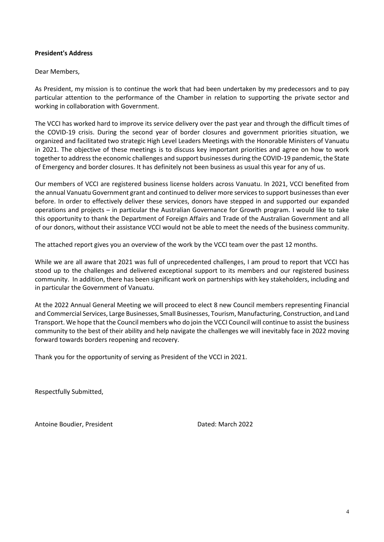# <span id="page-3-0"></span>**President's Address**

### Dear Members,

As President, my mission is to continue the work that had been undertaken by my predecessors and to pay particular attention to the performance of the Chamber in relation to supporting the private sector and working in collaboration with Government.

The VCCI has worked hard to improve its service delivery over the past year and through the difficult times of the COVID-19 crisis. During the second year of border closures and government priorities situation, we organized and facilitated two strategic High Level Leaders Meetings with the Honorable Ministers of Vanuatu in 2021. The objective of these meetings is to discuss key important priorities and agree on how to work together to address the economic challenges and support businesses during the COVID-19 pandemic, the State of Emergency and border closures. It has definitely not been business as usual this year for any of us.

Our members of VCCI are registered business license holders across Vanuatu. In 2021, VCCI benefited from the annual Vanuatu Government grant and continued to deliver more services to support businesses than ever before. In order to effectively deliver these services, donors have stepped in and supported our expanded operations and projects – in particular the Australian Governance for Growth program. I would like to take this opportunity to thank the Department of Foreign Affairs and Trade of the Australian Government and all of our donors, without their assistance VCCI would not be able to meet the needs of the business community.

The attached report gives you an overview of the work by the VCCI team over the past 12 months.

While we are all aware that 2021 was full of unprecedented challenges, I am proud to report that VCCI has stood up to the challenges and delivered exceptional support to its members and our registered business community. In addition, there has been significant work on partnerships with key stakeholders, including and in particular the Government of Vanuatu.

At the 2022 Annual General Meeting we will proceed to elect 8 new Council members representing Financial and Commercial Services, Large Businesses, Small Businesses, Tourism, Manufacturing, Construction, and Land Transport. We hope that the Council members who do join the VCCI Council will continue to assist the business community to the best of their ability and help navigate the challenges we will inevitably face in 2022 moving forward towards borders reopening and recovery.

Thank you for the opportunity of serving as President of the VCCI in 2021.

Respectfully Submitted,

Antoine Boudier, President **Dated: March 2022**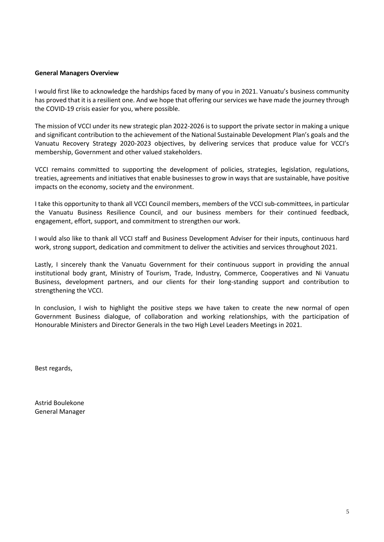#### <span id="page-4-0"></span>**General Managers Overview**

I would first like to acknowledge the hardships faced by many of you in 2021. Vanuatu's business community has proved that it is a resilient one. And we hope that offering our services we have made the journey through the COVID-19 crisis easier for you, where possible.

The mission of VCCI under its new strategic plan 2022-2026 is to support the private sector in making a unique and significant contribution to the achievement of the National Sustainable Development Plan's goals and the Vanuatu Recovery Strategy 2020-2023 objectives, by delivering services that produce value for VCCI's membership, Government and other valued stakeholders.

VCCI remains committed to supporting the development of policies, strategies, legislation, regulations, treaties, agreements and initiatives that enable businesses to grow in ways that are sustainable, have positive impacts on the economy, society and the environment.

I take this opportunity to thank all VCCI Council members, members of the VCCI sub-committees, in particular the Vanuatu Business Resilience Council, and our business members for their continued feedback, engagement, effort, support, and commitment to strengthen our work.

I would also like to thank all VCCI staff and Business Development Adviser for their inputs, continuous hard work, strong support, dedication and commitment to deliver the activities and services throughout 2021.

Lastly, I sincerely thank the Vanuatu Government for their continuous support in providing the annual institutional body grant, Ministry of Tourism, Trade, Industry, Commerce, Cooperatives and Ni Vanuatu Business, development partners, and our clients for their long-standing support and contribution to strengthening the VCCI.

In conclusion, I wish to highlight the positive steps we have taken to create the new normal of open Government Business dialogue, of collaboration and working relationships, with the participation of Honourable Ministers and Director Generals in the two High Level Leaders Meetings in 2021.

Best regards,

Astrid Boulekone General Manager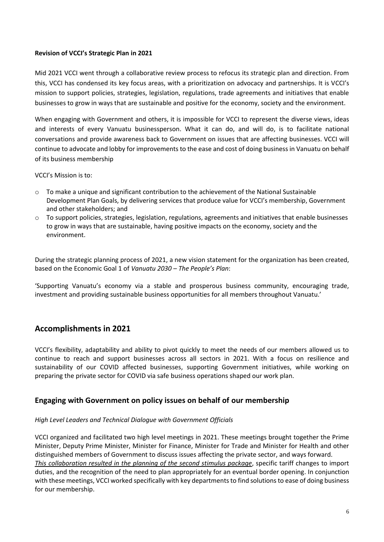# <span id="page-5-0"></span>**Revision of VCCI's Strategic Plan in 2021**

Mid 2021 VCCI went through a collaborative review process to refocus its strategic plan and direction. From this, VCCI has condensed its key focus areas, with a prioritization on advocacy and partnerships. It is VCCI's mission to support policies, strategies, legislation, regulations, trade agreements and initiatives that enable businesses to grow in ways that are sustainable and positive for the economy, society and the environment.

When engaging with Government and others, it is impossible for VCCI to represent the diverse views, ideas and interests of every Vanuatu businessperson. What it can do, and will do, is to facilitate national conversations and provide awareness back to Government on issues that are affecting businesses. VCCI will continue to advocate and lobby for improvements to the ease and cost of doing business in Vanuatu on behalf of its business membership

VCCI's Mission is to:

- $\circ$  To make a unique and significant contribution to the achievement of the National Sustainable Development Plan Goals, by delivering services that produce value for VCCI's membership, Government and other stakeholders; and
- $\circ$  To support policies, strategies, legislation, regulations, agreements and initiatives that enable businesses to grow in ways that are sustainable, having positive impacts on the economy, society and the environment.

During the strategic planning process of 2021, a new vision statement for the organization has been created, based on the Economic Goal 1 of *Vanuatu 2030 – The People's Plan*:

'Supporting Vanuatu's economy via a stable and prosperous business community, encouraging trade, investment and providing sustainable business opportunities for all members throughout Vanuatu.'

# <span id="page-5-1"></span>**Accomplishments in 2021**

VCCI's flexibility, adaptability and ability to pivot quickly to meet the needs of our members allowed us to continue to reach and support businesses across all sectors in 2021. With a focus on resilience and sustainability of our COVID affected businesses, supporting Government initiatives, while working on preparing the private sector for COVID via safe business operations shaped our work plan.

# <span id="page-5-2"></span>**Engaging with Government on policy issues on behalf of our membership**

# *High Level Leaders and Technical Dialogue with Government Officials*

VCCI organized and facilitated two high level meetings in 2021. These meetings brought together the Prime Minister, Deputy Prime Minister, Minister for Finance, Minister for Trade and Minister for Health and other distinguished members of Government to discuss issues affecting the private sector, and ways forward. *This collaboration resulted in the planning of the second stimulus package*, specific tariff changes to import duties, and the recognition of the need to plan appropriately for an eventual border opening. In conjunction with these meetings, VCCI worked specifically with key departments to find solutions to ease of doing business for our membership.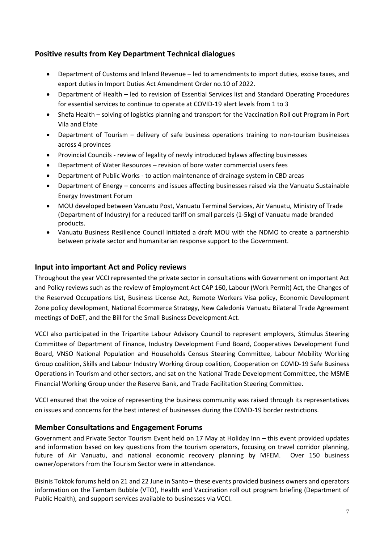# <span id="page-6-0"></span>**Positive results from Key Department Technical dialogues**

- Department of Customs and Inland Revenue led to amendments to import duties, excise taxes, and export duties in Import Duties Act Amendment Order no.10 of 2022.
- Department of Health led to revision of Essential Services list and Standard Operating Procedures for essential services to continue to operate at COVID-19 alert levels from 1 to 3
- Shefa Health solving of logistics planning and transport for the Vaccination Roll out Program in Port Vila and Efate
- Department of Tourism delivery of safe business operations training to non-tourism businesses across 4 provinces
- Provincial Councils review of legality of newly introduced bylaws affecting businesses
- Department of Water Resources revision of bore water commercial users fees
- Department of Public Works to action maintenance of drainage system in CBD areas
- Department of Energy concerns and issues affecting businesses raised via the Vanuatu Sustainable Energy Investment Forum
- MOU developed between Vanuatu Post, Vanuatu Terminal Services, Air Vanuatu, Ministry of Trade (Department of Industry) for a reduced tariff on small parcels (1-5kg) of Vanuatu made branded products.
- Vanuatu Business Resilience Council initiated a draft MOU with the NDMO to create a partnership between private sector and humanitarian response support to the Government.

# <span id="page-6-1"></span>**Input into important Act and Policy reviews**

Throughout the year VCCI represented the private sector in consultations with Government on important Act and Policy reviews such as the review of Employment Act CAP 160, Labour (Work Permit) Act, the Changes of the Reserved Occupations List, Business License Act, Remote Workers Visa policy, Economic Development Zone policy development, National Ecommerce Strategy, New Caledonia Vanuatu Bilateral Trade Agreement meetings of DoET, and the Bill for the Small Business Development Act.

VCCI also participated in the Tripartite Labour Advisory Council to represent employers, Stimulus Steering Committee of Department of Finance, Industry Development Fund Board, Cooperatives Development Fund Board, VNSO National Population and Households Census Steering Committee, Labour Mobility Working Group coalition, Skills and Labour Industry Working Group coalition, Cooperation on COVID-19 Safe Business Operations in Tourism and other sectors, and sat on the National Trade Development Committee, the MSME Financial Working Group under the Reserve Bank, and Trade Facilitation Steering Committee.

VCCI ensured that the voice of representing the business community was raised through its representatives on issues and concerns for the best interest of businesses during the COVID-19 border restrictions.

# <span id="page-6-2"></span>**Member Consultations and Engagement Forums**

Government and Private Sector Tourism Event held on 17 May at Holiday Inn – this event provided updates and information based on key questions from the tourism operators, focusing on travel corridor planning, future of Air Vanuatu, and national economic recovery planning by MFEM. Over 150 business owner/operators from the Tourism Sector were in attendance.

Bisinis Toktok forums held on 21 and 22 June in Santo – these events provided business owners and operators information on the Tamtam Bubble (VTO), Health and Vaccination roll out program briefing (Department of Public Health), and support services available to businesses via VCCI.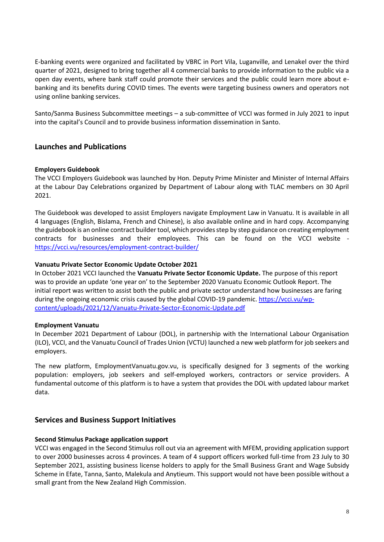E-banking events were organized and facilitated by VBRC in Port Vila, Luganville, and Lenakel over the third quarter of 2021, designed to bring together all 4 commercial banks to provide information to the public via a open day events, where bank staff could promote their services and the public could learn more about ebanking and its benefits during COVID times. The events were targeting business owners and operators not using online banking services.

Santo/Sanma Business Subcommittee meetings – a sub-committee of VCCI was formed in July 2021 to input into the capital's Council and to provide business information dissemination in Santo.

# <span id="page-7-0"></span>**Launches and Publications**

### **Employers Guidebook**

The VCCI Employers Guidebook was launched by Hon. Deputy Prime Minister and Minister of Internal Affairs at the Labour Day Celebrations organized by Department of Labour along with TLAC members on 30 April 2021.

The Guidebook was developed to assist Employers navigate Employment Law in Vanuatu. It is available in all 4 languages (English, Bislama, French and Chinese), is also available online and in hard copy. Accompanying the guidebook is an online contract builder tool, which provides step by step guidance on creating employment contracts for businesses and their employees. This can be found on the VCCI website <https://vcci.vu/resources/employment-contract-builder/>

#### **Vanuatu Private Sector Economic Update October 2021**

In October 2021 VCCI launched the **Vanuatu Private Sector Economic Update.** The purpose of this report was to provide an update 'one year on' to the September 2020 Vanuatu Economic Outlook Report. The initial report was written to assist both the public and private sector understand how businesses are faring during the ongoing economic crisis caused by the global COVID-19 pandemic. [https://vcci.vu/wp](https://vcci.vu/wp-content/uploads/2021/12/Vanuatu-Private-Sector-Economic-Update.pdf)[content/uploads/2021/12/Vanuatu-Private-Sector-Economic-Update.pdf](https://vcci.vu/wp-content/uploads/2021/12/Vanuatu-Private-Sector-Economic-Update.pdf)

### **Employment Vanuatu**

In December 2021 Department of Labour (DOL), in partnership with the International Labour Organisation (ILO), VCCI, and the Vanuatu Council of Trades Union (VCTU) launched a new web platform for job seekers and employers.

The new platform, EmploymentVanuatu.gov.vu, is specifically designed for 3 segments of the working population: employers, job seekers and self-employed workers, contractors or service providers. A fundamental outcome of this platform is to have a system that provides the DOL with updated labour market data.

### <span id="page-7-1"></span>**Services and Business Support Initiatives**

### **Second Stimulus Package application support**

VCCI was engaged in the Second Stimulus roll out via an agreement with MFEM, providing application support to over 2000 businesses across 4 provinces. A team of 4 support officers worked full-time from 23 July to 30 September 2021, assisting business license holders to apply for the Small Business Grant and Wage Subsidy Scheme in Efate, Tanna, Santo, Malekula and Anytieum. This support would not have been possible without a small grant from the New Zealand High Commission.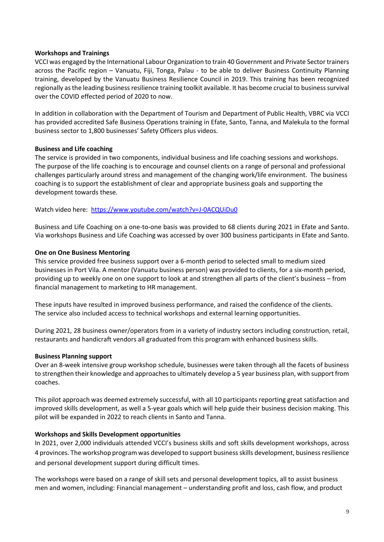### **Workshops and Trainings**

VCCI was engaged by the International Labour Organization to train 40 Government and Private Sector trainers across the Pacific region – Vanuatu, Fiji, Tonga, Palau - to be able to deliver Business Continuity Planning training, developed by the Vanuatu Business Resilience Council in 2019. This training has been recognized regionally as the leading business resilience training toolkit available. It has become crucial to business survival over the COVID effected period of 2020 to now.

In addition in collaboration with the Department of Tourism and Department of Public Health, VBRC via VCCI has provided accredited Safe Business Operations training in Efate, Santo, Tanna, and Malekula to the formal business sector to 1,800 businesses' Safety Officers plus videos.

#### **Business and Life coaching**

The service is provided in two components, individual business and life coaching sessions and workshops. The purpose of the life coaching is to encourage and counsel clients on a range of personal and professional challenges particularly around stress and management of the changing work/life environment. The business coaching is to support the establishment of clear and appropriate business goals and supporting the development towards these.

Watch video here: <https://www.youtube.com/watch?v=J-0ACQUiDu0>

Business and Life Coaching on a one-to-one basis was provided to 68 clients during 2021 in Efate and Santo. Via workshops Business and Life Coaching was accessed by over 300 business participants in Efate and Santo.

#### **One on One Business Mentoring**

This service provided free business support over a 6-month period to selected small to medium sized businesses in Port Vila. A mentor (Vanuatu business person) was provided to clients, for a six-month period, providing up to weekly one on one support to look at and strengthen all parts of the client's business – from financial management to marketing to HR management.

These inputs have resulted in improved business performance, and raised the confidence of the clients. The service also included access to technical workshops and external learning opportunities.

During 2021, 28 business owner/operators from in a variety of industry sectors including construction, retail, restaurants and handicraft vendors all graduated from this program with enhanced business skills.

#### **Business Planning support**

Over an 8-week intensive group workshop schedule, businesses were taken through all the facets of business to strengthen their knowledge and approaches to ultimately develop a 5 year business plan, with support from coaches.

This pilot approach was deemed extremely successful, with all 10 participants reporting great satisfaction and improved skills development, as well a 5-year goals which will help guide their business decision making. This pilot will be expanded in 2022 to reach clients in Santo and Tanna.

#### **Workshops and Skills Development opportunities**

In 2021, over 2,000 individuals attended VCCI's business skills and soft skills development workshops, across 4 provinces. The workshop program was developed to support business skills development, business resilience and personal development support during difficult times.

The workshops were based on a range of skill sets and personal development topics, all to assist business men and women, including: Financial management – understanding profit and loss, cash flow, and product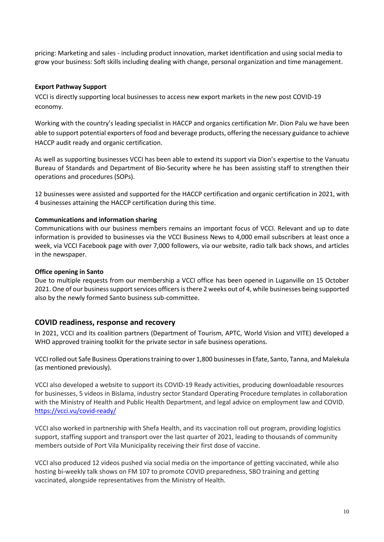pricing: Marketing and sales - including product innovation, market identification and using social media to grow your business: Soft skills including dealing with change, personal organization and time management.

# **Export Pathway Support**

VCCI is directly supporting local businesses to access new export markets in the new post COVID-19 economy.

Working with the country's leading specialist in HACCP and organics certification Mr. Dion Palu we have been able to support potential exporters of food and beverage products, offering the necessary guidance to achieve HACCP audit ready and organic certification.

As well as supporting businesses VCCI has been able to extend its support via Dion's expertise to the Vanuatu Bureau of Standards and Department of Bio-Security where he has been assisting staff to strengthen their operations and procedures (SOPs).

12 businesses were assisted and supported for the HACCP certification and organic certification in 2021, with 4 businesses attaining the HACCP certification during this time.

# **Communications and information sharing**

Communications with our business members remains an important focus of VCCI. Relevant and up to date information is provided to businesses via the VCCI Business News to 4,000 email subscribers at least once a week, via VCCI Facebook page with over 7,000 followers, via our website, radio talk back shows, and articles in the newspaper.

### **Office opening in Santo**

Due to multiple requests from our membership a VCCI office has been opened in Luganville on 15 October 2021. One of our business support services officers is there 2 weeks out of 4, while businesses being supported also by the newly formed Santo business sub-committee.

# <span id="page-9-0"></span>**COVID readiness, response and recovery**

In 2021, VCCI and its coalition partners (Department of Tourism, APTC, World Vision and VITE) developed a WHO approved training toolkit for the private sector in safe business operations.

VCCI rolled out Safe Business Operations training to over 1,800 businessesin Efate, Santo, Tanna, and Malekula (as mentioned previously).

VCCI also developed a website to support its COVID-19 Ready activities, producing downloadable resources for businesses, 5 videos in Bislama, industry sector Standard Operating Procedure templates in collaboration with the Ministry of Health and Public Health Department, and legal advice on employment law and COVID. <https://vcci.vu/covid-ready/>

VCCI also worked in partnership with Shefa Health, and its vaccination roll out program, providing logistics support, staffing support and transport over the last quarter of 2021, leading to thousands of community members outside of Port Vila Municipality receiving their first dose of vaccine.

VCCI also produced 12 videos pushed via social media on the importance of getting vaccinated, while also hosting bi-weekly talk shows on FM 107 to promote COVID preparedness, SBO training and getting vaccinated, alongside representatives from the Ministry of Health.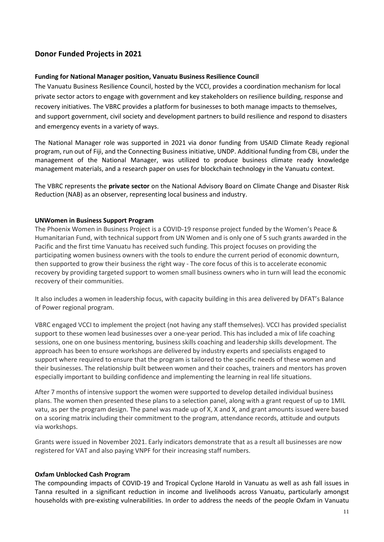# <span id="page-10-0"></span>**Donor Funded Projects in 2021**

### **Funding for National Manager position, Vanuatu Business Resilience Council**

The Vanuatu Business Resilience Council, hosted by the VCCI, provides a coordination mechanism for local private sector actors to engage with government and key stakeholders on resilience building, response and recovery initiatives. The VBRC provides a platform for businesses to both manage impacts to themselves, and support government, civil society and development partners to build resilience and respond to disasters and emergency events in a variety of ways.

The National Manager role was supported in 2021 via donor funding from USAID Climate Ready regional program, run out of Fiji, and the Connecting Business initiative, UNDP. Additional funding from CBi, under the management of the National Manager, was utilized to produce business climate ready knowledge management materials, and a research paper on uses for blockchain technology in the Vanuatu context.

The VBRC represents the **private sector** on the National Advisory Board on Climate Change and Disaster Risk Reduction (NAB) as an observer, representing local business and industry.

### **UNWomen in Business Support Program**

The Phoenix Women in Business Project is a COVID-19 response project funded by the Women's Peace & Humanitarian Fund, with technical support from UN Women and is only one of 5 such grants awarded in the Pacific and the first time Vanuatu has received such funding. This project focuses on providing the participating women business owners with the tools to endure the current period of economic downturn, then supported to grow their business the right way - The core focus of this is to accelerate economic recovery by providing targeted support to women small business owners who in turn will lead the economic recovery of their communities.

It also includes a women in leadership focus, with capacity building in this area delivered by DFAT's Balance of Power regional program.

VBRC engaged VCCI to implement the project (not having any staff themselves). VCCI has provided specialist support to these women lead businesses over a one-year period. This has included a mix of life coaching sessions, one on one business mentoring, business skills coaching and leadership skills development. The approach has been to ensure workshops are delivered by industry experts and specialists engaged to support where required to ensure that the program is tailored to the specific needs of these women and their businesses. The relationship built between women and their coaches, trainers and mentors has proven especially important to building confidence and implementing the learning in real life situations.

After 7 months of intensive support the women were supported to develop detailed individual business plans. The women then presented these plans to a selection panel, along with a grant request of up to 1MIL vatu, as per the program design. The panel was made up of X, X and X, and grant amounts issued were based on a scoring matrix including their commitment to the program, attendance records, attitude and outputs via workshops.

Grants were issued in November 2021. Early indicators demonstrate that as a result all businesses are now registered for VAT and also paying VNPF for their increasing staff numbers.

### **Oxfam Unblocked Cash Program**

The compounding impacts of COVID-19 and Tropical Cyclone Harold in Vanuatu as well as ash fall issues in Tanna resulted in a significant reduction in income and livelihoods across Vanuatu, particularly amongst households with pre-existing vulnerabilities. In order to address the needs of the people Oxfam in Vanuatu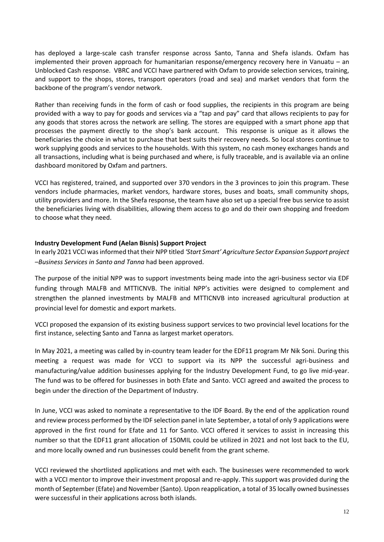has deployed a large-scale cash transfer response across Santo, Tanna and Shefa islands. Oxfam has implemented their proven approach for humanitarian response/emergency recovery here in Vanuatu – an Unblocked Cash response. VBRC and VCCI have partnered with Oxfam to provide selection services, training, and support to the shops, stores, transport operators (road and sea) and market vendors that form the backbone of the program's vendor network.

Rather than receiving funds in the form of cash or food supplies, the recipients in this program are being provided with a way to pay for goods and services via a "tap and pay" card that allows recipients to pay for any goods that stores across the network are selling. The stores are equipped with a smart phone app that processes the payment directly to the shop's bank account. This response is unique as it allows the beneficiaries the choice in what to purchase that best suits their recovery needs. So local stores continue to work supplying goods and services to the households. With this system, no cash money exchanges hands and all transactions, including what is being purchased and where, is fully traceable, and is available via an online dashboard monitored by Oxfam and partners.

VCCI has registered, trained, and supported over 370 vendors in the 3 provinces to join this program. These vendors include pharmacies, market vendors, hardware stores, buses and boats, small community shops, utility providers and more. In the Shefa response, the team have also set up a special free bus service to assist the beneficiaries living with disabilities, allowing them access to go and do their own shopping and freedom to choose what they need.

# **Industry Development Fund (Aelan Bisnis) Support Project**

In early 2021 VCCI was informed that their NPP titled *'Start Smart' Agriculture Sector Expansion Support project –Business Services in Santo and Tanna* had been approved.

The purpose of the initial NPP was to support investments being made into the agri-business sector via EDF funding through MALFB and MTTICNVB. The initial NPP's activities were designed to complement and strengthen the planned investments by MALFB and MTTICNVB into increased agricultural production at provincial level for domestic and export markets.

VCCI proposed the expansion of its existing business support services to two provincial level locations for the first instance, selecting Santo and Tanna as largest market operators.

In May 2021, a meeting was called by in-country team leader for the EDF11 program Mr Nik Soni. During this meeting a request was made for VCCI to support via its NPP the successful agri-business and manufacturing/value addition businesses applying for the Industry Development Fund, to go live mid-year. The fund was to be offered for businesses in both Efate and Santo. VCCI agreed and awaited the process to begin under the direction of the Department of Industry.

In June, VCCI was asked to nominate a representative to the IDF Board. By the end of the application round and review process performed by the IDF selection panel in late September, a total of only 9 applications were approved in the first round for Efate and 11 for Santo. VCCI offered it services to assist in increasing this number so that the EDF11 grant allocation of 150MIL could be utilized in 2021 and not lost back to the EU, and more locally owned and run businesses could benefit from the grant scheme.

VCCI reviewed the shortlisted applications and met with each. The businesses were recommended to work with a VCCI mentor to improve their investment proposal and re-apply. This support was provided during the month of September (Efate) and November (Santo). Upon reapplication, a total of 35 locally owned businesses were successful in their applications across both islands.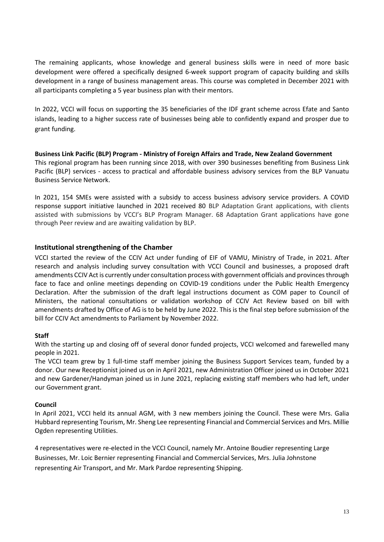The remaining applicants, whose knowledge and general business skills were in need of more basic development were offered a specifically designed 6-week support program of capacity building and skills development in a range of business management areas. This course was completed in December 2021 with all participants completing a 5 year business plan with their mentors.

In 2022, VCCI will focus on supporting the 35 beneficiaries of the IDF grant scheme across Efate and Santo islands, leading to a higher success rate of businesses being able to confidently expand and prosper due to grant funding.

**Business Link Pacific (BLP) Program - Ministry of Foreign Affairs and Trade, New Zealand Government**  This regional program has been running since 2018, with over 390 businesses benefiting from Business Link Pacific (BLP) services - access to practical and affordable business advisory services from the BLP Vanuatu Business Service Network.

In 2021, 154 SMEs were assisted with a subsidy to access business advisory service providers. A COVID response support initiative launched in 2021 received 80 BLP Adaptation Grant applications, with clients assisted with submissions by VCCI's BLP Program Manager. 68 Adaptation Grant applications have gone through Peer review and are awaiting validation by BLP.

# <span id="page-12-0"></span>**Institutional strengthening of the Chamber**

VCCI started the review of the CCIV Act under funding of EIF of VAMU, Ministry of Trade, in 2021. After research and analysis including survey consultation with VCCI Council and businesses, a proposed draft amendments CCIV Act is currently under consultation process with government officials and provinces through face to face and online meetings depending on COVID-19 conditions under the Public Health Emergency Declaration. After the submission of the draft legal instructions document as COM paper to Council of Ministers, the national consultations or validation workshop of CCIV Act Review based on bill with amendments drafted by Office of AG is to be held by June 2022. This is the final step before submission of the bill for CCIV Act amendments to Parliament by November 2022.

# **Staff**

With the starting up and closing off of several donor funded projects, VCCI welcomed and farewelled many people in 2021.

The VCCI team grew by 1 full-time staff member joining the Business Support Services team, funded by a donor. Our new Receptionist joined us on in April 2021, new Administration Officer joined us in October 2021 and new Gardener/Handyman joined us in June 2021, replacing existing staff members who had left, under our Government grant.

# **Council**

In April 2021, VCCI held its annual AGM, with 3 new members joining the Council. These were Mrs. Galia Hubbard representing Tourism, Mr. Sheng Lee representing Financial and Commercial Services and Mrs. Millie Ogden representing Utilities.

4 representatives were re-elected in the VCCI Council, namely Mr. Antoine Boudier representing Large Businesses, Mr. Loic Bernier representing Financial and Commercial Services, Mrs. Julia Johnstone representing Air Transport, and Mr. Mark Pardoe representing Shipping.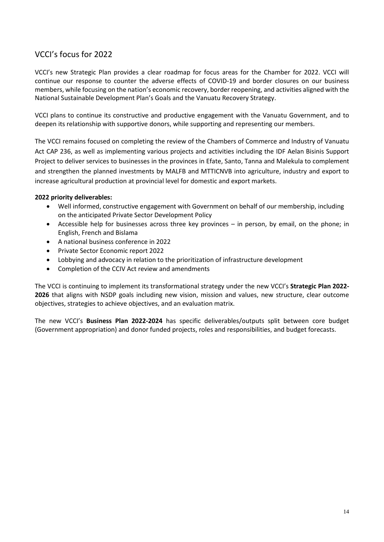# <span id="page-13-0"></span>VCCI's focus for 2022

VCCI's new Strategic Plan provides a clear roadmap for focus areas for the Chamber for 2022. VCCI will continue our response to counter the adverse effects of COVID-19 and border closures on our business members, while focusing on the nation's economic recovery, border reopening, and activities aligned with the National Sustainable Development Plan's Goals and the Vanuatu Recovery Strategy.

VCCI plans to continue its constructive and productive engagement with the Vanuatu Government, and to deepen its relationship with supportive donors, while supporting and representing our members.

The VCCI remains focused on completing the review of the Chambers of Commerce and Industry of Vanuatu Act CAP 236, as well as implementing various projects and activities including the IDF Aelan Bisinis Support Project to deliver services to businesses in the provinces in Efate, Santo, Tanna and Malekula to complement and strengthen the planned investments by MALFB and MTTICNVB into agriculture, industry and export to increase agricultural production at provincial level for domestic and export markets.

# **2022 priority deliverables:**

- Well informed, constructive engagement with Government on behalf of our membership, including on the anticipated Private Sector Development Policy
- Accessible help for businesses across three key provinces in person, by email, on the phone; in English, French and Bislama
- A national business conference in 2022
- Private Sector Economic report 2022
- Lobbying and advocacy in relation to the prioritization of infrastructure development
- Completion of the CCIV Act review and amendments

The VCCI is continuing to implement its transformational strategy under the new VCCI's **Strategic Plan 2022- 2026** that aligns with NSDP goals including new vision, mission and values, new structure, clear outcome objectives, strategies to achieve objectives, and an evaluation matrix.

The new VCCI's **Business Plan 2022-2024** has specific deliverables/outputs split between core budget (Government appropriation) and donor funded projects, roles and responsibilities, and budget forecasts.